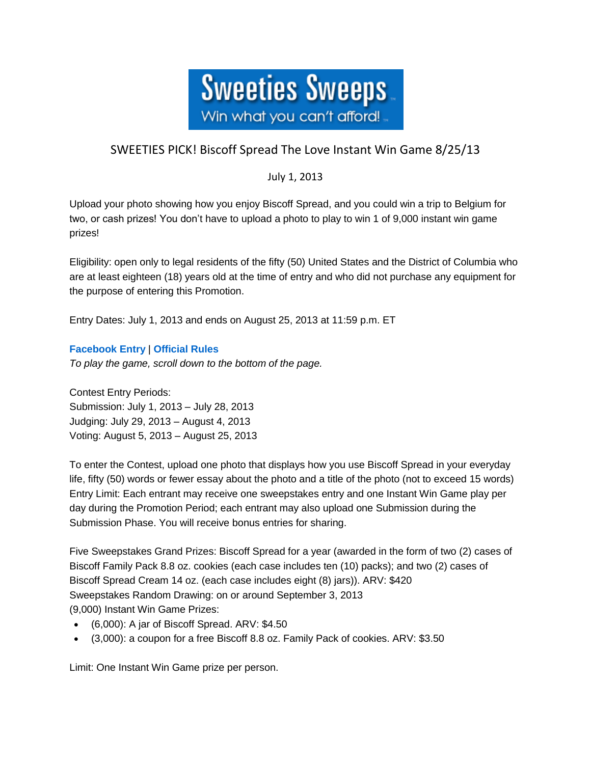

## SWEETIES PICK! Biscoff Spread The Love Instant Win Game 8/25/13

## July 1, 2013

Upload your photo showing how you enjoy Biscoff Spread, and you could win a trip to Belgium for two, or cash prizes! You don't have to upload a photo to play to win 1 of 9,000 instant win game prizes!

Eligibility: open only to legal residents of the fifty (50) United States and the District of Columbia who are at least eighteen (18) years old at the time of entry and who did not purchase any equipment for the purpose of entering this Promotion.

Entry Dates: July 1, 2013 and ends on August 25, 2013 at 11:59 p.m. ET

## **[Facebook Entry](https://www.facebook.com/Biscoff/app_376135842503871)** | **[Official Rules](https://biscoff.promo.eprize.com/spreadchallenge/public/fulfillment/rules.pdf)**

*To play the game, scroll down to the bottom of the page.*

Contest Entry Periods: Submission: July 1, 2013 – July 28, 2013 Judging: July 29, 2013 – August 4, 2013 Voting: August 5, 2013 – August 25, 2013

To enter the Contest, upload one photo that displays how you use Biscoff Spread in your everyday life, fifty (50) words or fewer essay about the photo and a title of the photo (not to exceed 15 words) Entry Limit: Each entrant may receive one sweepstakes entry and one Instant Win Game play per day during the Promotion Period; each entrant may also upload one Submission during the Submission Phase. You will receive bonus entries for sharing.

Five Sweepstakes Grand Prizes: Biscoff Spread for a year (awarded in the form of two (2) cases of Biscoff Family Pack 8.8 oz. cookies (each case includes ten (10) packs); and two (2) cases of Biscoff Spread Cream 14 oz. (each case includes eight (8) jars)). ARV: \$420 Sweepstakes Random Drawing: on or around September 3, 2013 (9,000) Instant Win Game Prizes:

- (6,000): A jar of Biscoff Spread. ARV: \$4.50
- (3,000): a coupon for a free Biscoff 8.8 oz. Family Pack of cookies. ARV: \$3.50

Limit: One Instant Win Game prize per person.